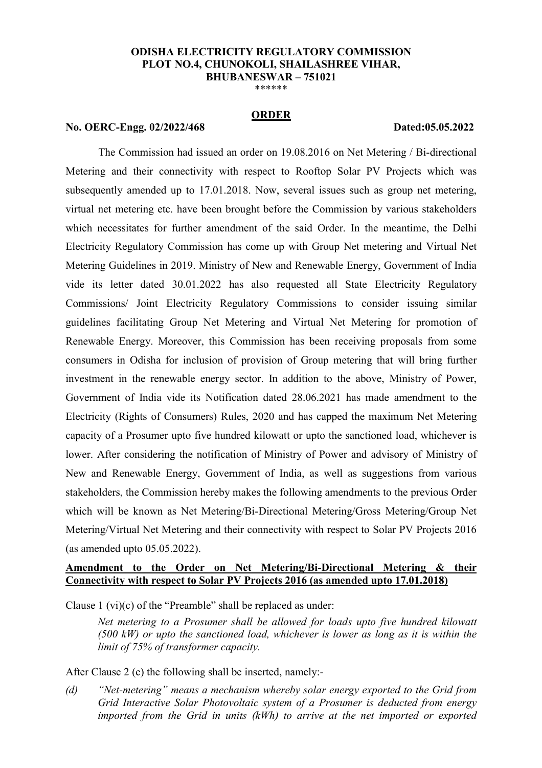### **ODISHA ELECTRICITY REGULATORY COMMISSION PLOT NO.4, CHUNOKOLI, SHAILASHREE VIHAR, BHUBANESWAR – 751021**

\*\*\*\*\*\*

### **ORDER**

# **No. OERC-Engg. 02/2022/468 Dated:05.05.2022**

The Commission had issued an order on 19.08.2016 on Net Metering / Bi-directional Metering and their connectivity with respect to Rooftop Solar PV Projects which was subsequently amended up to 17.01.2018. Now, several issues such as group net metering, virtual net metering etc. have been brought before the Commission by various stakeholders which necessitates for further amendment of the said Order. In the meantime, the Delhi Electricity Regulatory Commission has come up with Group Net metering and Virtual Net Metering Guidelines in 2019. Ministry of New and Renewable Energy, Government of India vide its letter dated 30.01.2022 has also requested all State Electricity Regulatory Commissions/ Joint Electricity Regulatory Commissions to consider issuing similar guidelines facilitating Group Net Metering and Virtual Net Metering for promotion of Renewable Energy. Moreover, this Commission has been receiving proposals from some consumers in Odisha for inclusion of provision of Group metering that will bring further investment in the renewable energy sector. In addition to the above, Ministry of Power, Government of India vide its Notification dated 28.06.2021 has made amendment to the Electricity (Rights of Consumers) Rules, 2020 and has capped the maximum Net Metering capacity of a Prosumer upto five hundred kilowatt or upto the sanctioned load, whichever is lower. After considering the notification of Ministry of Power and advisory of Ministry of New and Renewable Energy, Government of India, as well as suggestions from various stakeholders, the Commission hereby makes the following amendments to the previous Order which will be known as Net Metering/Bi-Directional Metering/Gross Metering/Group Net Metering/Virtual Net Metering and their connectivity with respect to Solar PV Projects 2016 (as amended upto 05.05.2022).

# **Amendment to the Order on Net Metering/Bi-Directional Metering & their Connectivity with respect to Solar PV Projects 2016 (as amended upto 17.01.2018)**

Clause 1 (vi)(c) of the "Preamble" shall be replaced as under:

 *Net metering to a Prosumer shall be allowed for loads upto five hundred kilowatt (500 kW) or upto the sanctioned load, whichever is lower as long as it is within the limit of 75% of transformer capacity.* 

After Clause 2 (c) the following shall be inserted, namely:-

*(d) "Net-metering" means a mechanism whereby solar energy exported to the Grid from Grid Interactive Solar Photovoltaic system of a Prosumer is deducted from energy imported from the Grid in units (kWh) to arrive at the net imported or exported*